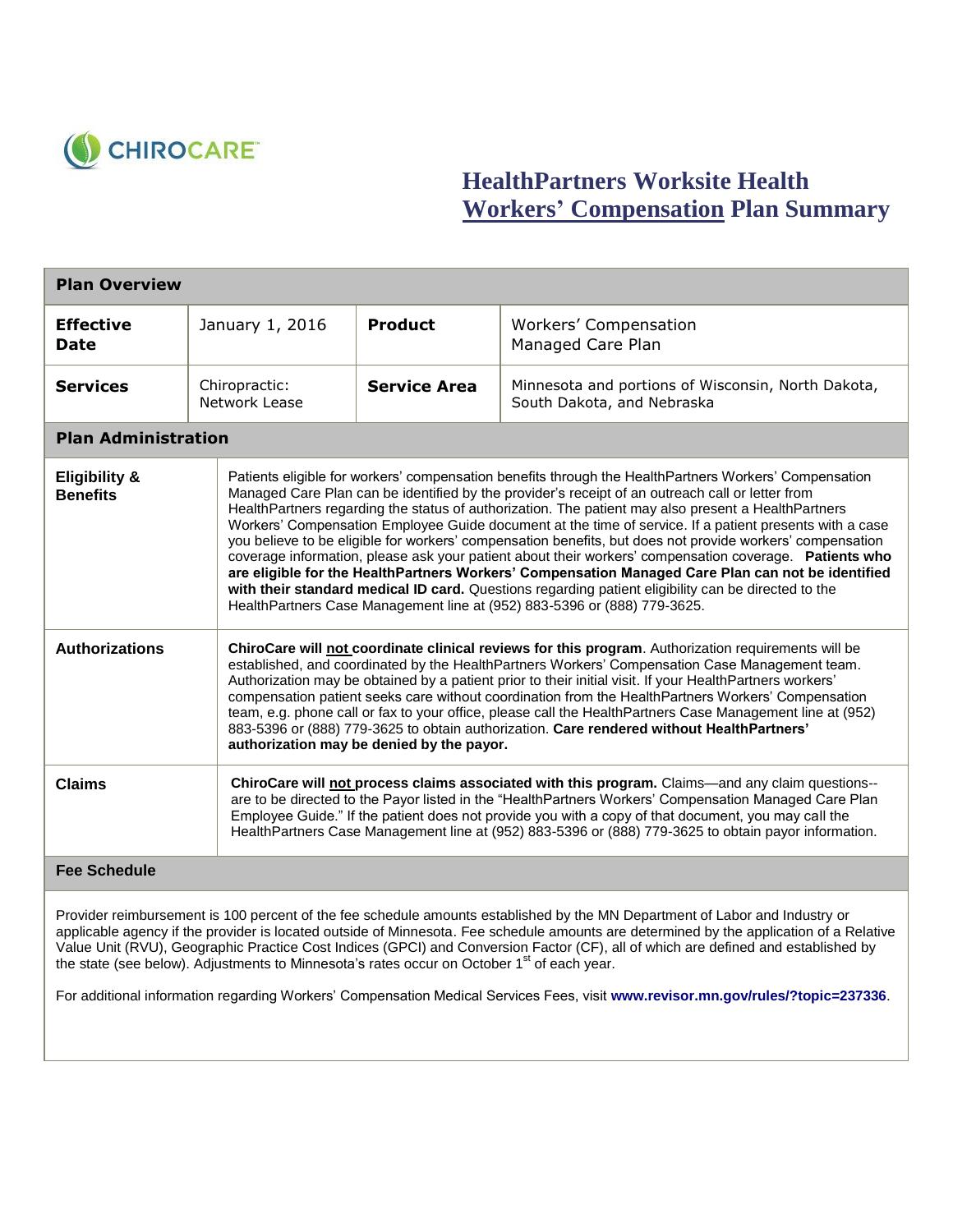

## **HealthPartners Worksite Health Workers' Compensation Plan Summary**

| <b>Plan Overview</b>                        |                                |                                                                                                                                                                                                                                                                                                                                                                                                                                                                                                                                                                                                                                                                                                                                                                                                                                                                                                                                            |                                                                                  |  |
|---------------------------------------------|--------------------------------|--------------------------------------------------------------------------------------------------------------------------------------------------------------------------------------------------------------------------------------------------------------------------------------------------------------------------------------------------------------------------------------------------------------------------------------------------------------------------------------------------------------------------------------------------------------------------------------------------------------------------------------------------------------------------------------------------------------------------------------------------------------------------------------------------------------------------------------------------------------------------------------------------------------------------------------------|----------------------------------------------------------------------------------|--|
| <b>Effective</b><br>Date                    | January 1, 2016                | <b>Product</b>                                                                                                                                                                                                                                                                                                                                                                                                                                                                                                                                                                                                                                                                                                                                                                                                                                                                                                                             | Workers' Compensation<br>Managed Care Plan                                       |  |
| <b>Services</b>                             | Chiropractic:<br>Network Lease | <b>Service Area</b>                                                                                                                                                                                                                                                                                                                                                                                                                                                                                                                                                                                                                                                                                                                                                                                                                                                                                                                        | Minnesota and portions of Wisconsin, North Dakota,<br>South Dakota, and Nebraska |  |
| <b>Plan Administration</b>                  |                                |                                                                                                                                                                                                                                                                                                                                                                                                                                                                                                                                                                                                                                                                                                                                                                                                                                                                                                                                            |                                                                                  |  |
| <b>Eligibility &amp;</b><br><b>Benefits</b> |                                | Patients eligible for workers' compensation benefits through the HealthPartners Workers' Compensation<br>Managed Care Plan can be identified by the provider's receipt of an outreach call or letter from<br>HealthPartners regarding the status of authorization. The patient may also present a HealthPartners<br>Workers' Compensation Employee Guide document at the time of service. If a patient presents with a case<br>you believe to be eligible for workers' compensation benefits, but does not provide workers' compensation<br>coverage information, please ask your patient about their workers' compensation coverage. Patients who<br>are eligible for the HealthPartners Workers' Compensation Managed Care Plan can not be identified<br>with their standard medical ID card. Questions regarding patient eligibility can be directed to the<br>HealthPartners Case Management line at (952) 883-5396 or (888) 779-3625. |                                                                                  |  |
| <b>Authorizations</b>                       |                                | ChiroCare will not coordinate clinical reviews for this program. Authorization requirements will be<br>established, and coordinated by the HealthPartners Workers' Compensation Case Management team.<br>Authorization may be obtained by a patient prior to their initial visit. If your HealthPartners workers'<br>compensation patient seeks care without coordination from the HealthPartners Workers' Compensation<br>team, e.g. phone call or fax to your office, please call the HealthPartners Case Management line at (952)<br>883-5396 or (888) 779-3625 to obtain authorization. Care rendered without HealthPartners'<br>authorization may be denied by the payor.                                                                                                                                                                                                                                                             |                                                                                  |  |
| <b>Claims</b>                               |                                | ChiroCare will not process claims associated with this program. Claims—and any claim questions--<br>are to be directed to the Payor listed in the "HealthPartners Workers' Compensation Managed Care Plan<br>Employee Guide." If the patient does not provide you with a copy of that document, you may call the<br>HealthPartners Case Management line at (952) 883-5396 or (888) 779-3625 to obtain payor information.                                                                                                                                                                                                                                                                                                                                                                                                                                                                                                                   |                                                                                  |  |

## **Fee Schedule**

Provider reimbursement is 100 percent of the fee schedule amounts established by the MN Department of Labor and Industry or applicable agency if the provider is located outside of Minnesota. Fee schedule amounts are determined by the application of a Relative Value Unit (RVU), Geographic Practice Cost Indices (GPCI) and Conversion Factor (CF), all of which are defined and established by the state (see below). Adjustments to Minnesota's rates occur on October 1<sup>st</sup> of each year.

For additional information regarding Workers' Compensation Medical Services Fees, visit **[www.revisor.mn.gov/rules/?topic=237336](file:///C:/Users/lnorlinger/AppData/Local/Microsoft/Windows/Temporary%20Internet%20Files/Content.Outlook/XQNYHLQC/www.revisor.mn.gov/rules/%3ftopic=237336)**.